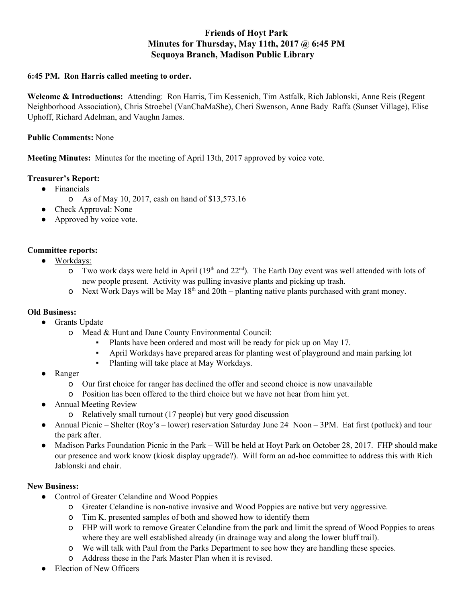# **Friends of Hoyt Park Minutes for Thursday, May 11th, 2017 @ 6:45 PM Sequoya Branch, Madison Public Library**

## **6:45 PM. Ron Harris called meeting to order.**

**Welcome & Introductions:** Attending: Ron Harris, Tim Kessenich, Tim Astfalk, Rich Jablonski, Anne Reis (Regent Neighborhood Association), Chris Stroebel (VanChaMaShe), Cheri Swenson, Anne Bady Raffa (Sunset Village), Elise Uphoff, Richard Adelman, and Vaughn James.

#### **Public Comments:** None

**Meeting Minutes:** Minutes for the meeting of April 13th, 2017 approved by voice vote.

#### **Treasurer's Report:**

- Financials
	- o As of May 10, 2017, cash on hand of \$13,573.16
- Check Approval: None
- Approved by voice vote.

# **Committee reports:**

- Workdays:
	- **o** Two work days were held in April ( $19<sup>th</sup>$  and  $22<sup>nd</sup>$ ). The Earth Day event was well attended with lots of new people present. Activity was pulling invasive plants and picking up trash.
	- o Next Work Days will be May  $18<sup>th</sup>$  and  $20th$  planting native plants purchased with grant money.

# **Old Business:**

- Grants Update
	- o Mead & Hunt and Dane County Environmental Council:
		- Plants have been ordered and most will be ready for pick up on May 17.
		- April Workdays have prepared areas for planting west of playground and main parking lot
		- Planting will take place at May Workdays.
- Ranger
	- o Our first choice for ranger has declined the offer and second choice is now unavailable
	- o Position has been offered to the third choice but we have not hear from him yet.
- Annual Meeting Review
	- o Relatively small turnout (17 people) but very good discussion
- Annual Picnic Shelter (Roy's lower) reservation Saturday June 24 Noon 3PM. Eat first (potluck) and tour the park after.
- Madison Parks Foundation Picnic in the Park Will be held at Hoyt Park on October 28, 2017. FHP should make our presence and work know (kiosk display upgrade?). Will form an ad-hoc committee to address this with Rich Jablonski and chair.

# **New Business:**<br>• Control

- Control of Greater Celandine and Wood Poppies
	- o Greater Celandine is non-native invasive and Wood Poppies are native but very aggressive.
	- o Tim K. presented samples of both and showed how to identify them
	- o FHP will work to remove Greater Celandine from the park and limit the spread of Wood Poppies to areas where they are well established already (in drainage way and along the lower bluff trail).
	- o We will talk with Paul from the Parks Department to see how they are handling these species.
	- o Address these in the Park Master Plan when it is revised.
- **Election of New Officers**